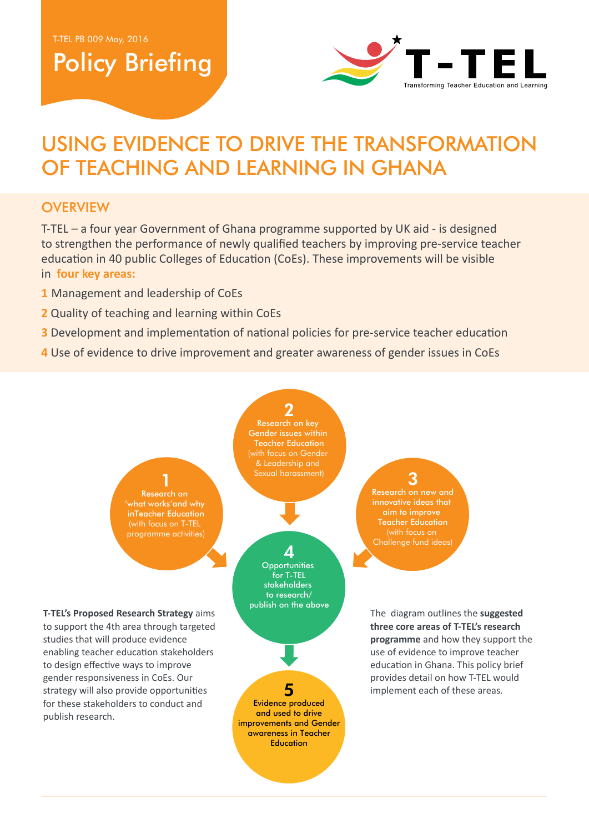# Policy Briefing



# USING EVIDENCE TO DRIVE THE TRANSFORMATION OF TEACHING AND LEARNING IN GHANA

#### **OVERVIEW**

T-TEL – a four year Government of Ghana programme supported by UK aid - is designed to strengthen the performance of newly qualified teachers by improving pre-service teacher education in 40 public Colleges of Education (CoEs). These improvements will be visible in **four key areas:**

- **1** Management and leadership of CoEs
- **2** Quality of teaching and learning within CoEs
- **3** Development and implementation of national policies for pre-service teacher education
- **4** Use of evidence to drive improvement and greater awareness of gender issues in CoEs

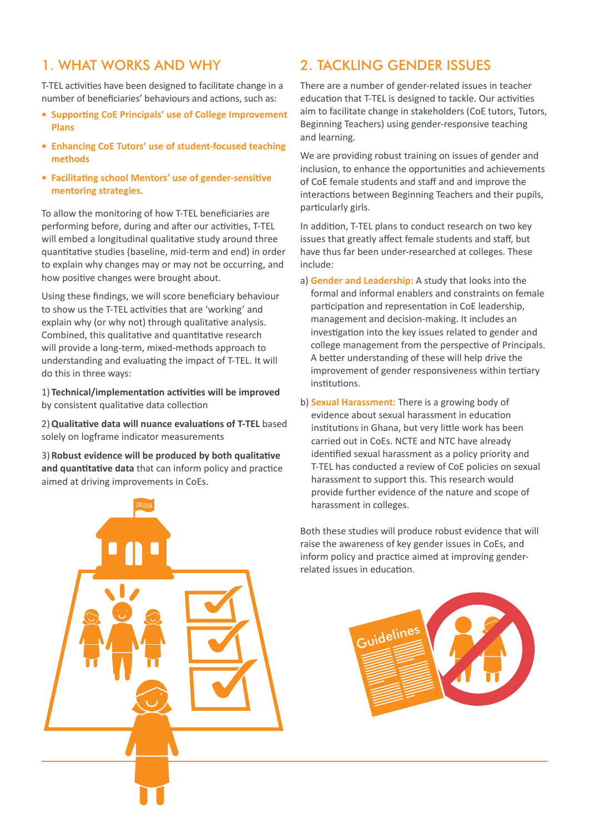#### 1. WHAT WORKS AND WHY

T-TEL activities have been designed to facilitate change in a number of beneficiaries' behaviours and actions, such as:

- **• Supporting CoE Principals' use of College Improvement Plans**
- **• Enhancing CoE Tutors' use of student-focused teaching methods**
- **• Facilitating school Mentors' use of gender-sensitive mentoring strategies.**

To allow the monitoring of how T-TEL beneficiaries are performing before, during and after our activities, T-TEL will embed a longitudinal qualitative study around three quantitative studies (baseline, mid-term and end) in order to explain why changes may or may not be occurring, and how positive changes were brought about.

Using these findings, we will score beneficiary behaviour to show us the T-TEL activities that are 'working' and explain why (or why not) through qualitative analysis. Combined, this qualitative and quantitative research will provide a long-term, mixed-methods approach to understanding and evaluating the impact of T-TEL. It will do this in three ways:

1) **Technical/implementation activities will be improved** by consistent qualitative data collection

2)**Qualitative data will nuance evaluations of T-TEL** based solely on logframe indicator measurements

3) **Robust evidence will be produced by both qualitative and quantitative data** that can inform policy and practice aimed at driving improvements in CoEs.

# 2. TACKLING GENDER ISSUES

There are a number of gender-related issues in teacher education that T-TEL is designed to tackle. Our activities aim to facilitate change in stakeholders (CoE tutors, Tutors, Beginning Teachers) using gender-responsive teaching and learning.

We are providing robust training on issues of gender and inclusion, to enhance the opportunities and achievements of CoE female students and staff and and improve the interactions between Beginning Teachers and their pupils, particularly girls.

In addition, T-TEL plans to conduct research on two key issues that greatly affect female students and staff, but have thus far been under-researched at colleges. These include:

- a) **Gender and Leadership:** A study that looks into the formal and informal enablers and constraints on female participation and representation in CoE leadership, management and decision-making. It includes an investigation into the key issues related to gender and college management from the perspective of Principals. A better understanding of these will help drive the improvement of gender responsiveness within tertiary institutions.
- b) **Sexual Harassment:** There is a growing body of evidence about sexual harassment in education institutions in Ghana, but very little work has been carried out in CoEs. NCTE and NTC have already identified sexual harassment as a policy priority and T-TEL has conducted a review of CoE policies on sexual harassment to support this. This research would provide further evidence of the nature and scope of harassment in colleges.

Both these studies will produce robust evidence that will raise the awareness of key gender issues in CoEs, and inform policy and practice aimed at improving genderrelated issues in education.

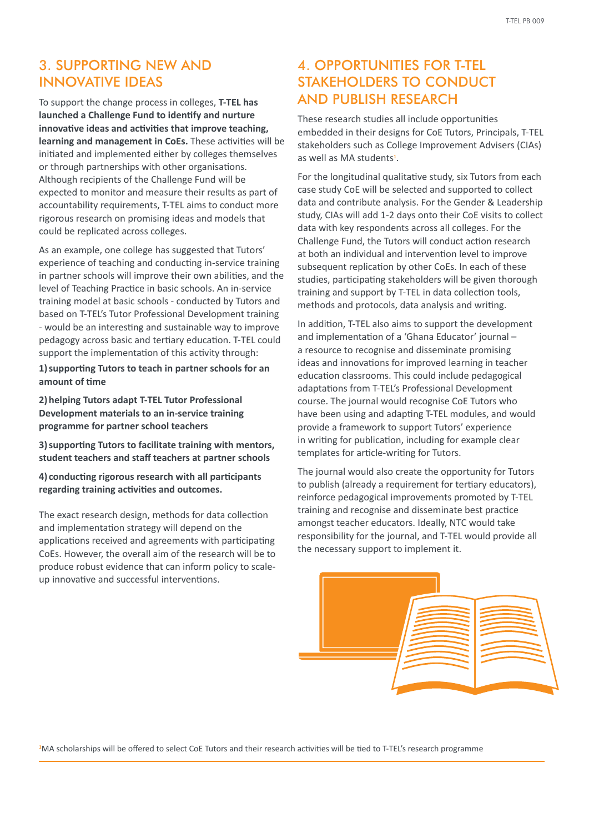### 3. SUPPORTING NEW AND INNOVATIVE IDEAS

To support the change process in colleges, **T-TEL has launched a Challenge Fund to identify and nurture innovative ideas and activities that improve teaching, learning and management in CoEs.** These activities will be initiated and implemented either by colleges themselves or through partnerships with other organisations. Although recipients of the Challenge Fund will be expected to monitor and measure their results as part of accountability requirements, T-TEL aims to conduct more rigorous research on promising ideas and models that could be replicated across colleges.

As an example, one college has suggested that Tutors' experience of teaching and conducting in-service training in partner schools will improve their own abilities, and the level of Teaching Practice in basic schools. An in-service training model at basic schools - conducted by Tutors and based on T-TEL's Tutor Professional Development training - would be an interesting and sustainable way to improve pedagogy across basic and tertiary education. T-TEL could support the implementation of this activity through:

**1) supporting Tutors to teach in partner schools for an amount of time**

**2) helping Tutors adapt T-TEL Tutor Professional Development materials to an in-service training programme for partner school teachers**

**3) supporting Tutors to facilitate training with mentors, student teachers and staff teachers at partner schools**

**4) conducting rigorous research with all participants regarding training activities and outcomes.** 

The exact research design, methods for data collection and implementation strategy will depend on the applications received and agreements with participating CoEs. However, the overall aim of the research will be to produce robust evidence that can inform policy to scaleup innovative and successful interventions.

### 4. OPPORTUNITIES FOR T-TEL STAKEHOLDERS TO CONDUCT AND PUBLISH RESEARCH

These research studies all include opportunities embedded in their designs for CoE Tutors, Principals, T-TEL stakeholders such as College Improvement Advisers (CIAs) as well as MA students**<sup>1</sup>** .

For the longitudinal qualitative study, six Tutors from each case study CoE will be selected and supported to collect data and contribute analysis. For the Gender & Leadership study, CIAs will add 1-2 days onto their CoE visits to collect data with key respondents across all colleges. For the Challenge Fund, the Tutors will conduct action research at both an individual and intervention level to improve subsequent replication by other CoEs. In each of these studies, participating stakeholders will be given thorough training and support by T-TEL in data collection tools, methods and protocols, data analysis and writing.

In addition, T-TEL also aims to support the development and implementation of a 'Ghana Educator' journal – a resource to recognise and disseminate promising ideas and innovations for improved learning in teacher education classrooms. This could include pedagogical adaptations from T-TEL's Professional Development course. The journal would recognise CoE Tutors who have been using and adapting T-TEL modules, and would provide a framework to support Tutors' experience in writing for publication, including for example clear templates for article-writing for Tutors.

The journal would also create the opportunity for Tutors to publish (already a requirement for tertiary educators), reinforce pedagogical improvements promoted by T-TEL training and recognise and disseminate best practice amongst teacher educators. Ideally, NTC would take responsibility for the journal, and T-TEL would provide all the necessary support to implement it.



**1** MA scholarships will be offered to select CoE Tutors and their research activities will be tied to T-TEL's research programme